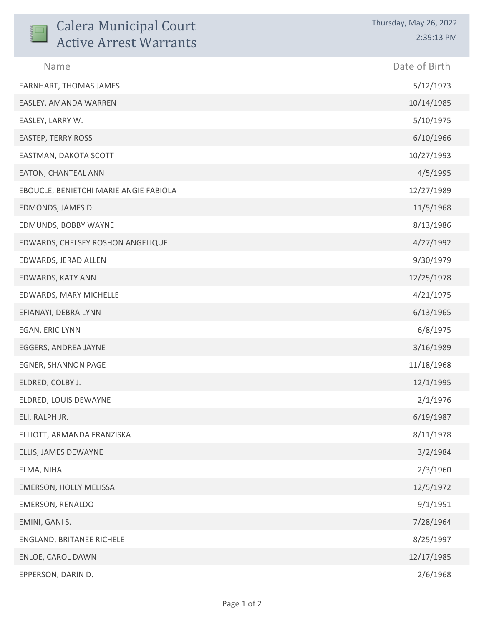| <b>Calera Municipal Court</b><br><b>Active Arrest Warrants</b> | Thursday, May 26, 2022<br>2:39:13 PM |
|----------------------------------------------------------------|--------------------------------------|
| Name                                                           | Date of Birth                        |
| EARNHART, THOMAS JAMES                                         | 5/12/1973                            |
| EASLEY, AMANDA WARREN                                          | 10/14/1985                           |
| EASLEY, LARRY W.                                               | 5/10/1975                            |
| <b>EASTEP, TERRY ROSS</b>                                      | 6/10/1966                            |
| EASTMAN, DAKOTA SCOTT                                          | 10/27/1993                           |
| EATON, CHANTEAL ANN                                            | 4/5/1995                             |
| EBOUCLE, BENIETCHI MARIE ANGIE FABIOLA                         | 12/27/1989                           |
| EDMONDS, JAMES D                                               | 11/5/1968                            |
| EDMUNDS, BOBBY WAYNE                                           | 8/13/1986                            |
| EDWARDS, CHELSEY ROSHON ANGELIQUE                              | 4/27/1992                            |
| EDWARDS, JERAD ALLEN                                           | 9/30/1979                            |
| EDWARDS, KATY ANN                                              | 12/25/1978                           |
| EDWARDS, MARY MICHELLE                                         | 4/21/1975                            |
| EFIANAYI, DEBRA LYNN                                           | 6/13/1965                            |
| EGAN, ERIC LYNN                                                | 6/8/1975                             |
| EGGERS, ANDREA JAYNE                                           | 3/16/1989                            |
| <b>EGNER, SHANNON PAGE</b>                                     | 11/18/1968                           |
| ELDRED, COLBY J.                                               | 12/1/1995                            |
| ELDRED, LOUIS DEWAYNE                                          | 2/1/1976                             |
| ELI, RALPH JR.                                                 | 6/19/1987                            |
| ELLIOTT, ARMANDA FRANZISKA                                     | 8/11/1978                            |
| ELLIS, JAMES DEWAYNE                                           | 3/2/1984                             |
| ELMA, NIHAL                                                    | 2/3/1960                             |
| EMERSON, HOLLY MELISSA                                         | 12/5/1972                            |
| EMERSON, RENALDO                                               | 9/1/1951                             |
| EMINI, GANI S.                                                 | 7/28/1964                            |
| ENGLAND, BRITANEE RICHELE                                      | 8/25/1997                            |
| ENLOE, CAROL DAWN                                              | 12/17/1985                           |
| EPPERSON, DARIN D.                                             | 2/6/1968                             |